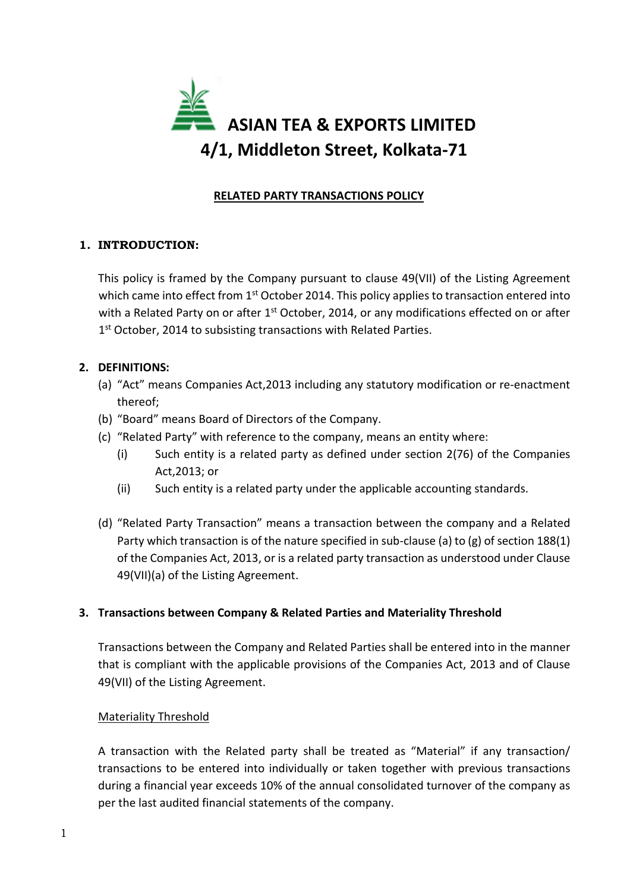

# RELATED PARTY TRANSACTIONS POLICY

# 1. INTRODUCTION:

This policy is framed by the Company pursuant to clause 49(VII) of the Listing Agreement which came into effect from 1<sup>st</sup> October 2014. This policy applies to transaction entered into with a Related Party on or after  $1<sup>st</sup>$  October, 2014, or any modifications effected on or after 1<sup>st</sup> October, 2014 to subsisting transactions with Related Parties.

## 2. DEFINITIONS:

- (a) "Act" means Companies Act,2013 including any statutory modification or re-enactment thereof;
- (b) "Board" means Board of Directors of the Company.
- (c) "Related Party" with reference to the company, means an entity where:
	- (i) Such entity is a related party as defined under section 2(76) of the Companies Act,2013; or
	- (ii) Such entity is a related party under the applicable accounting standards.
- (d) "Related Party Transaction" means a transaction between the company and a Related Party which transaction is of the nature specified in sub-clause (a) to (g) of section 188(1) of the Companies Act, 2013, or is a related party transaction as understood under Clause 49(VII)(a) of the Listing Agreement.

## 3. Transactions between Company & Related Parties and Materiality Threshold

Transactions between the Company and Related Parties shall be entered into in the manner that is compliant with the applicable provisions of the Companies Act, 2013 and of Clause 49(VII) of the Listing Agreement.

#### Materiality Threshold

A transaction with the Related party shall be treated as "Material" if any transaction/ transactions to be entered into individually or taken together with previous transactions during a financial year exceeds 10% of the annual consolidated turnover of the company as per the last audited financial statements of the company.